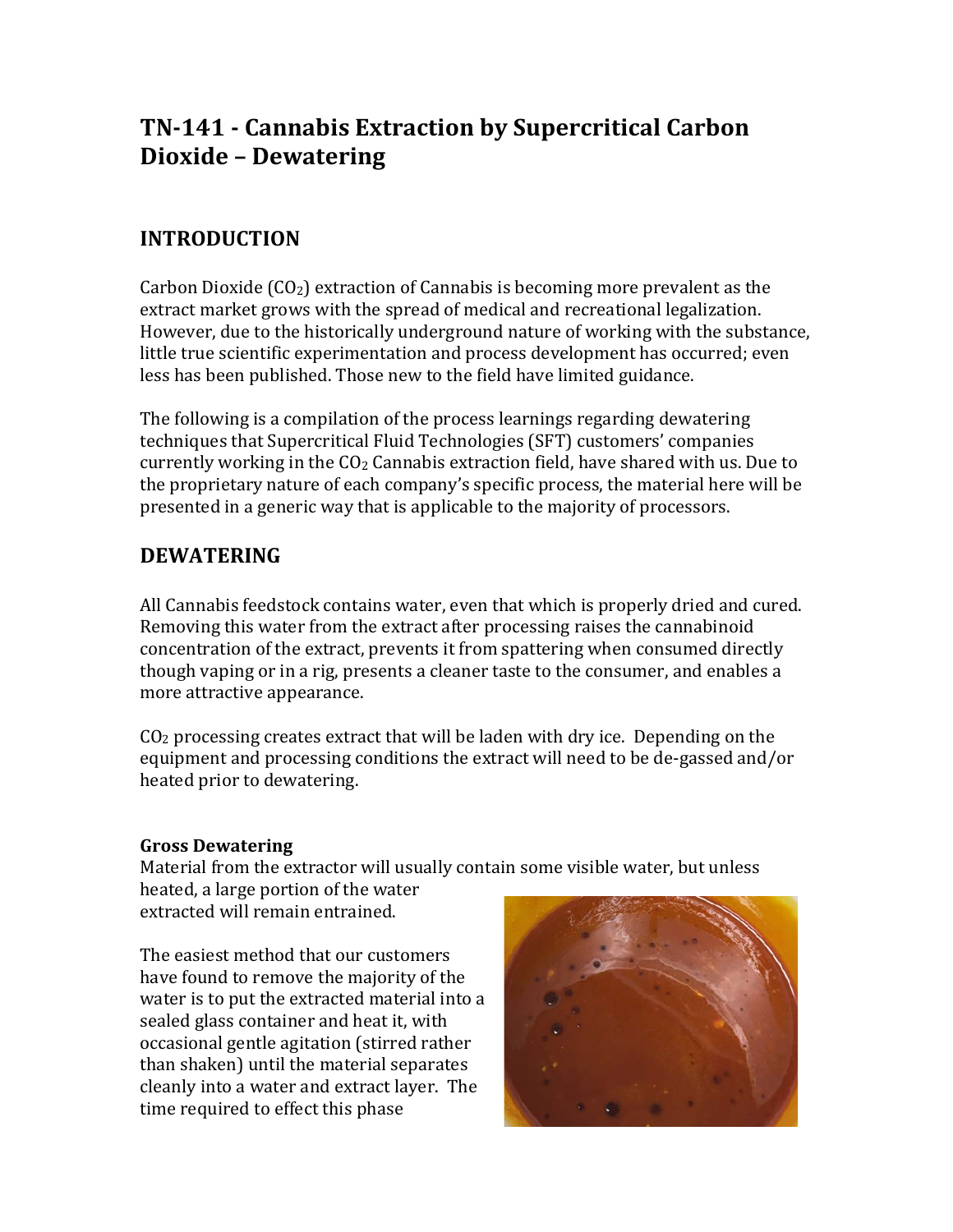# **TN-141 - Cannabis Extraction by Supercritical Carbon Dioxide – Dewatering**

# **INTRODUCTION**

Carbon Dioxide  $(CO_2)$  extraction of Cannabis is becoming more prevalent as the extract market grows with the spread of medical and recreational legalization. However, due to the historically underground nature of working with the substance, little true scientific experimentation and process development has occurred; even less has been published. Those new to the field have limited guidance.

The following is a compilation of the process learnings regarding dewatering techniques that Supercritical Fluid Technologies (SFT) customers' companies currently working in the  $CO<sub>2</sub>$  Cannabis extraction field, have shared with us. Due to the proprietary nature of each company's specific process, the material here will be presented in a generic way that is applicable to the majority of processors.

## **DEWATERING**

All Cannabis feedstock contains water, even that which is properly dried and cured. Removing this water from the extract after processing raises the cannabinoid concentration of the extract, prevents it from spattering when consumed directly though vaping or in a rig, presents a cleaner taste to the consumer, and enables a more attractive appearance.

 $CO<sub>2</sub>$  processing creates extract that will be laden with dry ice. Depending on the equipment and processing conditions the extract will need to be de-gassed and/or heated prior to dewatering.

## **Gross Dewatering**

Material from the extractor will usually contain some visible water, but unless heated, a large portion of the water

extracted will remain entrained.

The easiest method that our customers have found to remove the majority of the water is to put the extracted material into a sealed glass container and heat it, with occasional gentle agitation (stirred rather than shaken) until the material separates cleanly into a water and extract layer. The time required to effect this phase

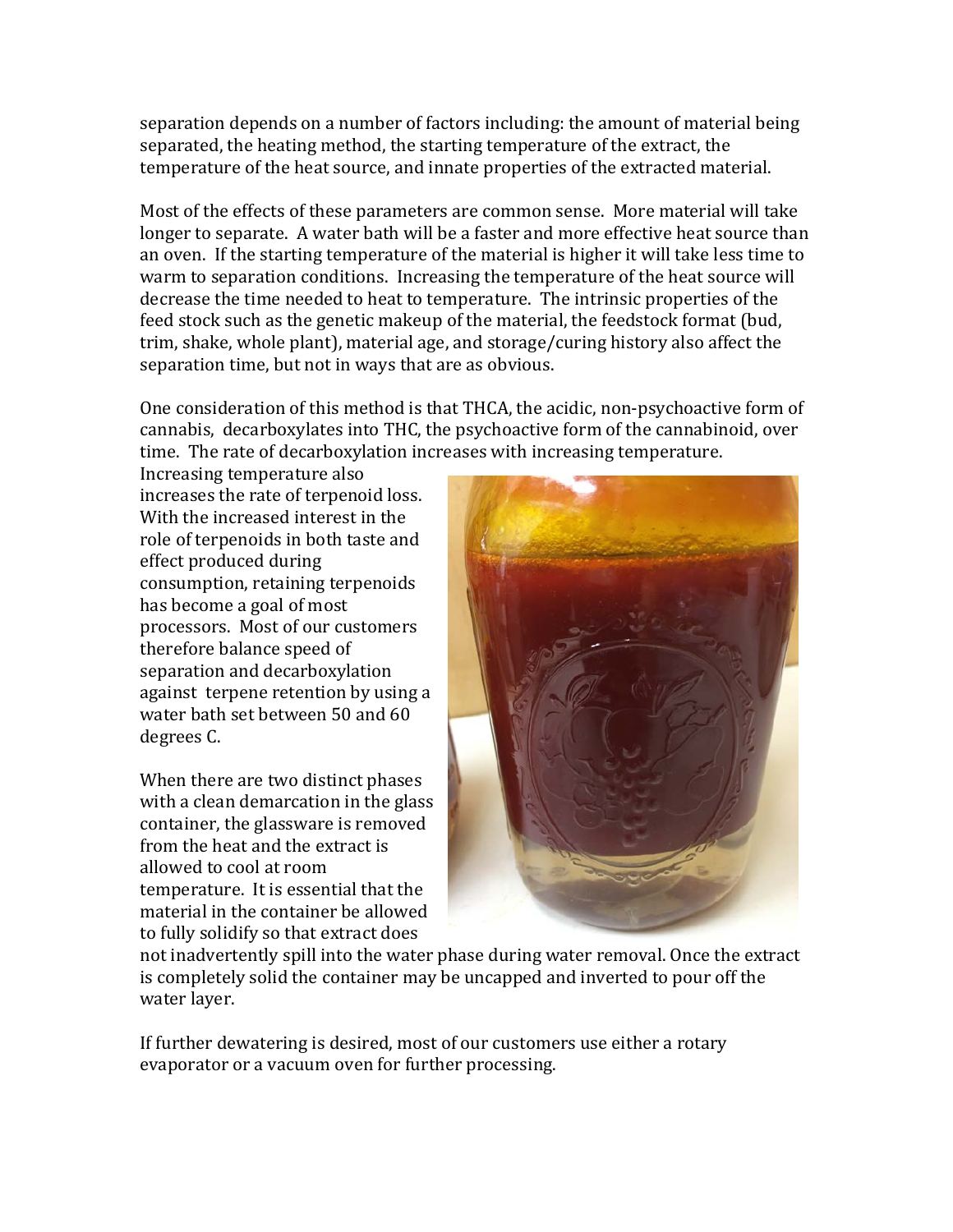separation depends on a number of factors including: the amount of material being separated, the heating method, the starting temperature of the extract, the temperature of the heat source, and innate properties of the extracted material.

Most of the effects of these parameters are common sense. More material will take longer to separate. A water bath will be a faster and more effective heat source than an oven. If the starting temperature of the material is higher it will take less time to warm to separation conditions. Increasing the temperature of the heat source will decrease the time needed to heat to temperature. The intrinsic properties of the feed stock such as the genetic makeup of the material, the feedstock format (bud, trim, shake, whole plant), material age, and storage/curing history also affect the separation time, but not in ways that are as obvious.

One consideration of this method is that THCA, the acidic, non-psychoactive form of cannabis, decarboxylates into THC, the psychoactive form of the cannabinoid, over time. The rate of decarboxylation increases with increasing temperature.

Increasing temperature also increases the rate of terpenoid loss. With the increased interest in the role of terpenoids in both taste and effect produced during consumption, retaining terpenoids has become a goal of most processors. Most of our customers therefore balance speed of separation and decarboxylation against terpene retention by using a water bath set between 50 and 60 degrees C.

When there are two distinct phases with a clean demarcation in the glass container, the glassware is removed from the heat and the extract is allowed to cool at room temperature. It is essential that the material in the container be allowed to fully solidify so that extract does



not inadvertently spill into the water phase during water removal. Once the extract is completely solid the container may be uncapped and inverted to pour off the water layer.

If further dewatering is desired, most of our customers use either a rotary evaporator or a vacuum oven for further processing.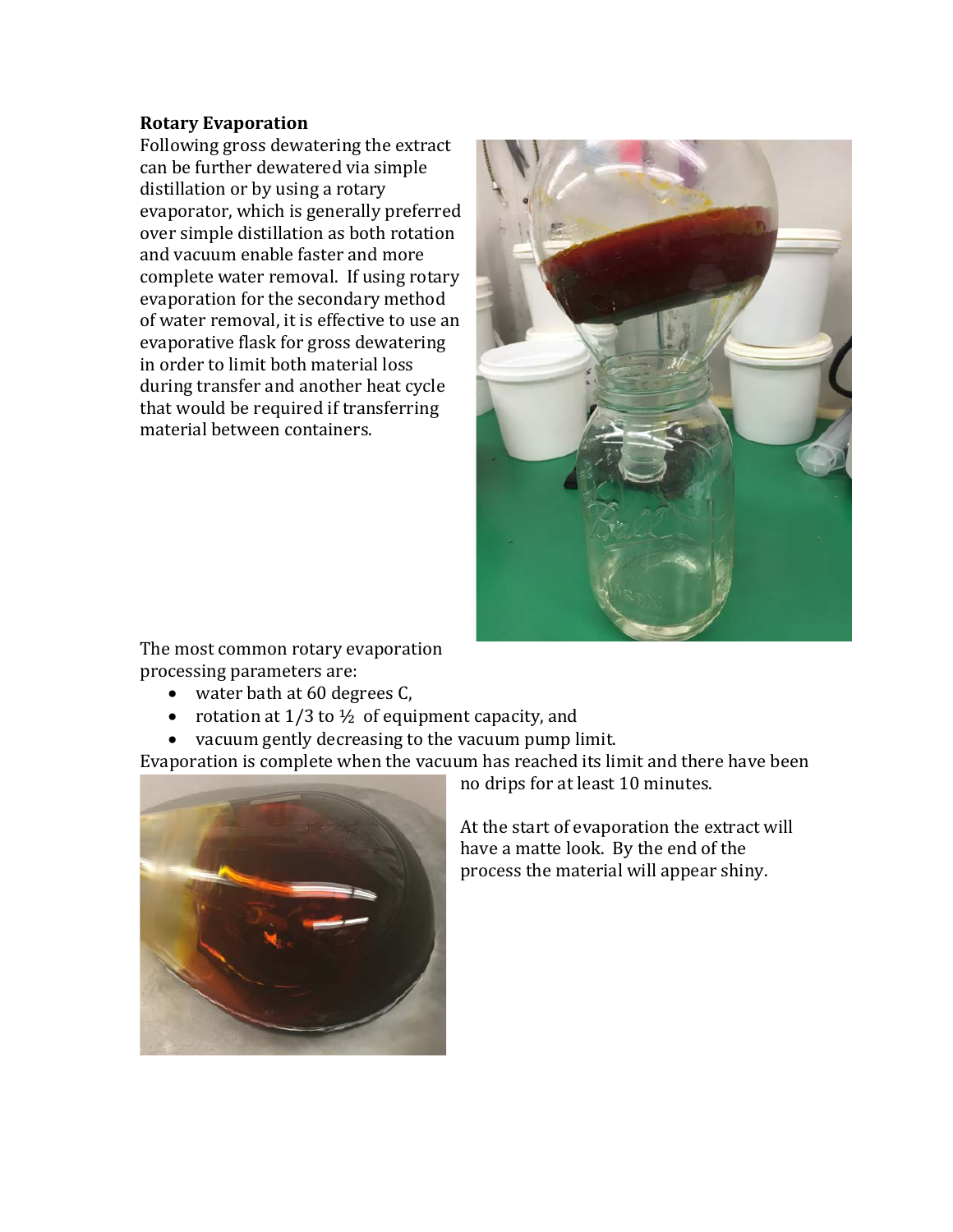### **Rotary Evaporation**

Following gross dewatering the extract can be further dewatered via simple distillation or by using a rotary evaporator, which is generally preferred over simple distillation as both rotation and vacuum enable faster and more complete water removal. If using rotary evaporation for the secondary method of water removal, it is effective to use an evaporative flask for gross dewatering in order to limit both material loss during transfer and another heat cycle that would be required if transferring material between containers.



The most common rotary evaporation processing parameters are:

- water bath at 60 degrees C,
- rotation at  $1/3$  to  $\frac{1}{2}$  of equipment capacity, and
- vacuum gently decreasing to the vacuum pump limit.

Evaporation is complete when the vacuum has reached its limit and there have been



no drips for at least 10 minutes.

At the start of evaporation the extract will have a matte look. By the end of the process the material will appear shiny.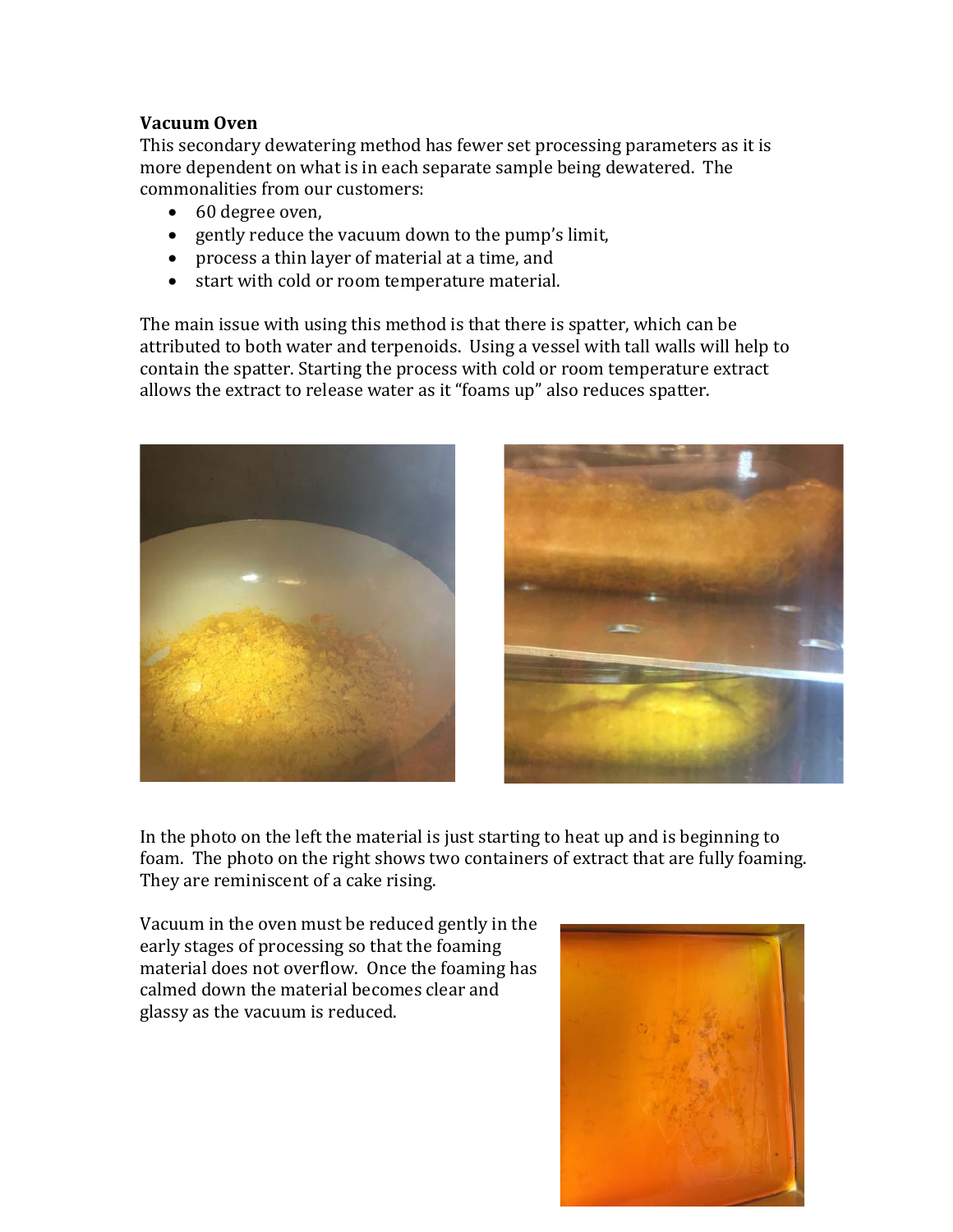### **Vacuum Oven**

This secondary dewatering method has fewer set processing parameters as it is more dependent on what is in each separate sample being dewatered. The commonalities from our customers:

- 60 degree oven,
- gently reduce the vacuum down to the pump's limit,
- process a thin layer of material at a time, and
- start with cold or room temperature material.

The main issue with using this method is that there is spatter, which can be attributed to both water and terpenoids. Using a vessel with tall walls will help to contain the spatter. Starting the process with cold or room temperature extract allows the extract to release water as it "foams up" also reduces spatter.





In the photo on the left the material is just starting to heat up and is beginning to foam. The photo on the right shows two containers of extract that are fully foaming. They are reminiscent of a cake rising.

Vacuum in the oven must be reduced gently in the early stages of processing so that the foaming material does not overflow. Once the foaming has calmed down the material becomes clear and glassy as the vacuum is reduced.